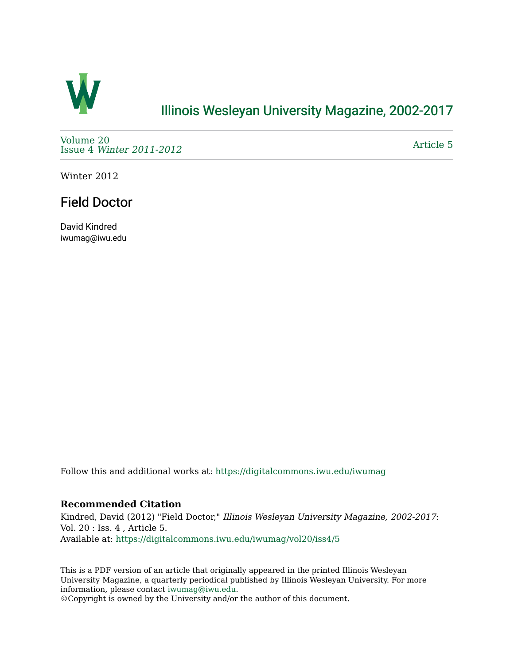

### [Illinois Wesleyan University Magazine, 2002-2017](https://digitalcommons.iwu.edu/iwumag)

[Volume 20](https://digitalcommons.iwu.edu/iwumag/vol20)  Issue 4 [Winter 2011-2012](https://digitalcommons.iwu.edu/iwumag/vol20/iss4)

[Article 5](https://digitalcommons.iwu.edu/iwumag/vol20/iss4/5) 

Winter 2012

## Field Doctor

David Kindred iwumag@iwu.edu

Follow this and additional works at: [https://digitalcommons.iwu.edu/iwumag](https://digitalcommons.iwu.edu/iwumag?utm_source=digitalcommons.iwu.edu%2Fiwumag%2Fvol20%2Fiss4%2F5&utm_medium=PDF&utm_campaign=PDFCoverPages) 

#### **Recommended Citation**

Kindred, David (2012) "Field Doctor," Illinois Wesleyan University Magazine, 2002-2017: Vol. 20 : Iss. 4 , Article 5. Available at: [https://digitalcommons.iwu.edu/iwumag/vol20/iss4/5](https://digitalcommons.iwu.edu/iwumag/vol20/iss4/5?utm_source=digitalcommons.iwu.edu%2Fiwumag%2Fvol20%2Fiss4%2F5&utm_medium=PDF&utm_campaign=PDFCoverPages)

This is a PDF version of an article that originally appeared in the printed Illinois Wesleyan University Magazine, a quarterly periodical published by Illinois Wesleyan University. For more information, please contact [iwumag@iwu.edu](mailto:iwumag@iwu.edu).

©Copyright is owned by the University and/or the author of this document.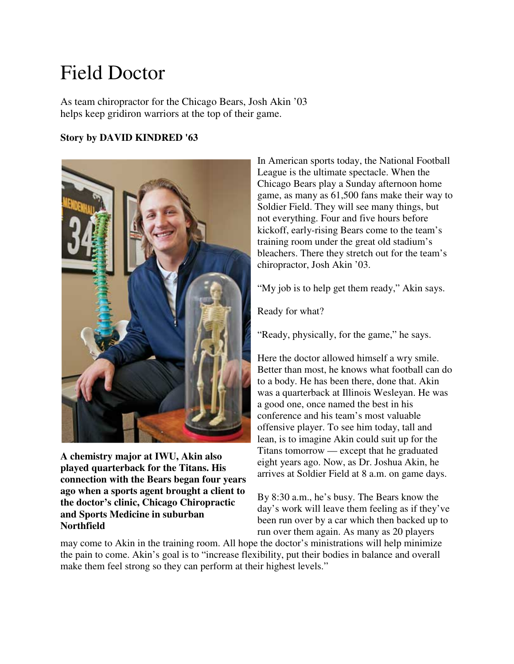# Field Doctor

As team chiropractor for the Chicago Bears, Josh Akin '03 helps keep gridiron warriors at the top of their game.

#### **Story by DAVID KINDRED '63**



**A chemistry major at IWU, Akin also played quarterback for the Titans. His connection with the Bears began four years ago when a sports agent brought a client to the doctor's clinic, Chicago Chiropractic and Sports Medicine in suburban Northfield**

In American sports today, the National Football League is the ultimate spectacle. When the Chicago Bears play a Sunday afternoon home game, as many as 61,500 fans make their way to Soldier Field. They will see many things, but not everything. Four and five hours before kickoff, early-rising Bears come to the team's training room under the great old stadium's bleachers. There they stretch out for the team's chiropractor, Josh Akin '03.

"My job is to help get them ready," Akin says.

Ready for what?

"Ready, physically, for the game," he says.

Here the doctor allowed himself a wry smile. Better than most, he knows what football can do to a body. He has been there, done that. Akin was a quarterback at Illinois Wesleyan. He was a good one, once named the best in his conference and his team's most valuable offensive player. To see him today, tall and lean, is to imagine Akin could suit up for the Titans tomorrow — except that he graduated eight years ago. Now, as Dr. Joshua Akin, he arrives at Soldier Field at 8 a.m. on game days.

By 8:30 a.m., he's busy. The Bears know the day's work will leave them feeling as if they've been run over by a car which then backed up to run over them again. As many as 20 players

may come to Akin in the training room. All hope the doctor's ministrations will help minimize the pain to come. Akin's goal is to "increase flexibility, put their bodies in balance and overall make them feel strong so they can perform at their highest levels."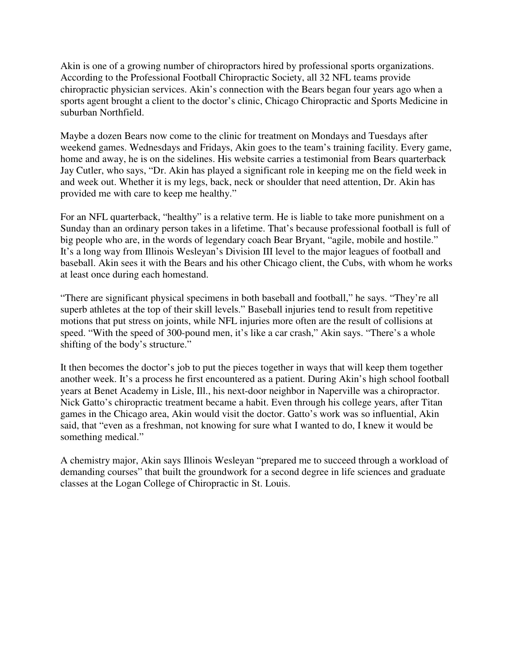Akin is one of a growing number of chiropractors hired by professional sports organizations. According to the Professional Football Chiropractic Society, all 32 NFL teams provide chiropractic physician services. Akin's connection with the Bears began four years ago when a sports agent brought a client to the doctor's clinic, Chicago Chiropractic and Sports Medicine in suburban Northfield.

Maybe a dozen Bears now come to the clinic for treatment on Mondays and Tuesdays after weekend games. Wednesdays and Fridays, Akin goes to the team's training facility. Every game, home and away, he is on the sidelines. His website carries a testimonial from Bears quarterback Jay Cutler, who says, "Dr. Akin has played a significant role in keeping me on the field week in and week out. Whether it is my legs, back, neck or shoulder that need attention, Dr. Akin has provided me with care to keep me healthy."

For an NFL quarterback, "healthy" is a relative term. He is liable to take more punishment on a Sunday than an ordinary person takes in a lifetime. That's because professional football is full of big people who are, in the words of legendary coach Bear Bryant, "agile, mobile and hostile." It's a long way from Illinois Wesleyan's Division III level to the major leagues of football and baseball. Akin sees it with the Bears and his other Chicago client, the Cubs, with whom he works at least once during each homestand.

"There are significant physical specimens in both baseball and football," he says. "They're all superb athletes at the top of their skill levels." Baseball injuries tend to result from repetitive motions that put stress on joints, while NFL injuries more often are the result of collisions at speed. "With the speed of 300-pound men, it's like a car crash," Akin says. "There's a whole shifting of the body's structure."

It then becomes the doctor's job to put the pieces together in ways that will keep them together another week. It's a process he first encountered as a patient. During Akin's high school football years at Benet Academy in Lisle, Ill., his next-door neighbor in Naperville was a chiropractor. Nick Gatto's chiropractic treatment became a habit. Even through his college years, after Titan games in the Chicago area, Akin would visit the doctor. Gatto's work was so influential, Akin said, that "even as a freshman, not knowing for sure what I wanted to do, I knew it would be something medical."

A chemistry major, Akin says Illinois Wesleyan "prepared me to succeed through a workload of demanding courses" that built the groundwork for a second degree in life sciences and graduate classes at the Logan College of Chiropractic in St. Louis.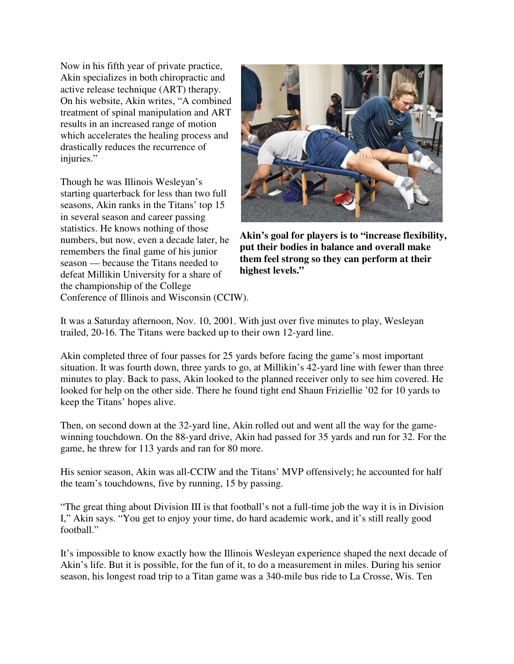Now in his fifth year of private practice, Akin specializes in both chiropractic and active release technique (ART) therapy. On his website, Akin writes, "A combined treatment of spinal manipulation and ART results in an increased range of motion which accelerates the healing process and drastically reduces the recurrence of injuries."

Though he was Illinois Wesleyan's starting quarterback for less than two full seasons, Akin ranks in the Titans' top 15 in several season and career passing statistics. He knows nothing of those numbers, but now, even a decade later, he remembers the final game of his junior season — because the Titans needed to defeat Millikin University for a share of the championship of the College Conference of Illinois and Wisconsin (CCIW).



**Akin's goal for players is to "increase flexibility, put their bodies in balance and overall make them feel strong so they can perform at their highest levels."**

It was a Saturday afternoon, Nov. 10, 2001. With just over five minutes to play, Wesleyan trailed, 20-16. The Titans were backed up to their own 12-yard line.

Akin completed three of four passes for 25 yards before facing the game's most important situation. It was fourth down, three yards to go, at Millikin's 42-yard line with fewer than three minutes to play. Back to pass, Akin looked to the planned receiver only to see him covered. He looked for help on the other side. There he found tight end Shaun Friziellie '02 for 10 yards to keep the Titans' hopes alive.

Then, on second down at the 32-yard line, Akin rolled out and went all the way for the gamewinning touchdown. On the 88-yard drive, Akin had passed for 35 yards and run for 32. For the game, he threw for 113 yards and ran for 80 more.

His senior season, Akin was all-CCIW and the Titans' MVP offensively; he accounted for half the team's touchdowns, five by running, 15 by passing.

"The great thing about Division III is that football's not a full-time job the way it is in Division I," Akin says. "You get to enjoy your time, do hard academic work, and it's still really good football."

It's impossible to know exactly how the Illinois Wesleyan experience shaped the next decade of Akin's life. But it is possible, for the fun of it, to do a measurement in miles. During his senior season, his longest road trip to a Titan game was a 340-mile bus ride to La Crosse, Wis. Ten